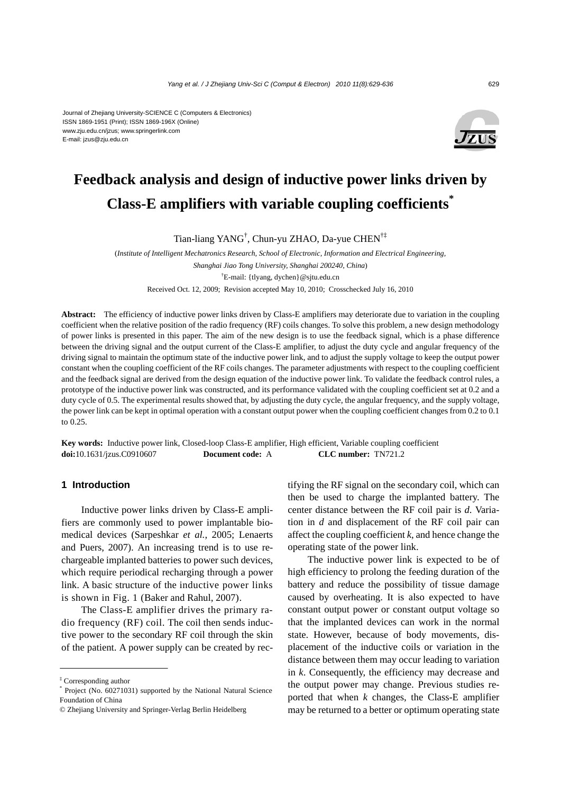#### Journal of Zhejiang University-SCIENCE C (Computers & Electronics) ISSN 1869-1951 (Print); ISSN 1869-196X (Online) www.zju.edu.cn/jzus; www.springerlink.com E-mail: jzus@zju.edu.cn



# **Feedback analysis and design of inductive power links driven by Class-E amplifiers with variable coupling coefficients\***

Tian-liang YANG† , Chun-yu ZHAO, Da-yue CHEN†‡

(*Institute of Intelligent Mechatronics Research, School of Electronic, Information and Electrical Engineering, Shanghai Jiao Tong University, Shanghai 200240, China*) † E-mail: {tlyang, dychen}@sjtu.edu.cn Received Oct. 12, 2009; Revision accepted May 10, 2010; Crosschecked July 16, 2010

**Abstract:** The efficiency of inductive power links driven by Class-E amplifiers may deteriorate due to variation in the coupling coefficient when the relative position of the radio frequency (RF) coils changes. To solve this problem, a new design methodology of power links is presented in this paper. The aim of the new design is to use the feedback signal, which is a phase difference between the driving signal and the output current of the Class-E amplifier, to adjust the duty cycle and angular frequency of the driving signal to maintain the optimum state of the inductive power link, and to adjust the supply voltage to keep the output power constant when the coupling coefficient of the RF coils changes. The parameter adjustments with respect to the coupling coefficient and the feedback signal are derived from the design equation of the inductive power link. To validate the feedback control rules, a prototype of the inductive power link was constructed, and its performance validated with the coupling coefficient set at 0.2 and a duty cycle of 0.5. The experimental results showed that, by adjusting the duty cycle, the angular frequency, and the supply voltage, the power link can be kept in optimal operation with a constant output power when the coupling coefficient changes from 0.2 to 0.1 to 0.25.

**Key words:** Inductive power link, Closed-loop Class-E amplifier, High efficient, Variable coupling coefficient **doi:**10.1631/jzus.C0910607 **Document code:** A **CLC number:** TN721.2

## **1 Introduction**

Inductive power links driven by Class-E amplifiers are commonly used to power implantable biomedical devices (Sarpeshkar *et al.*, 2005; Lenaerts and Puers, 2007). An increasing trend is to use rechargeable implanted batteries to power such devices, which require periodical recharging through a power link. A basic structure of the inductive power links is shown in Fig. 1 (Baker and Rahul, 2007).

The Class-E amplifier drives the primary radio frequency (RF) coil. The coil then sends inductive power to the secondary RF coil through the skin of the patient. A power supply can be created by rectifying the RF signal on the secondary coil, which can then be used to charge the implanted battery. The center distance between the RF coil pair is *d*. Variation in *d* and displacement of the RF coil pair can affect the coupling coefficient *k*, and hence change the operating state of the power link.

The inductive power link is expected to be of high efficiency to prolong the feeding duration of the battery and reduce the possibility of tissue damage caused by overheating. It is also expected to have constant output power or constant output voltage so that the implanted devices can work in the normal state. However, because of body movements, displacement of the inductive coils or variation in the distance between them may occur leading to variation in *k*. Consequently, the efficiency may decrease and the output power may change. Previous studies reported that when *k* changes, the Class-E amplifier may be returned to a better or optimum operating state

<sup>‡</sup> Corresponding author

<sup>\*</sup> Project (No. 60271031) supported by the National Natural Science Foundation of China

<sup>©</sup> Zhejiang University and Springer-Verlag Berlin Heidelberg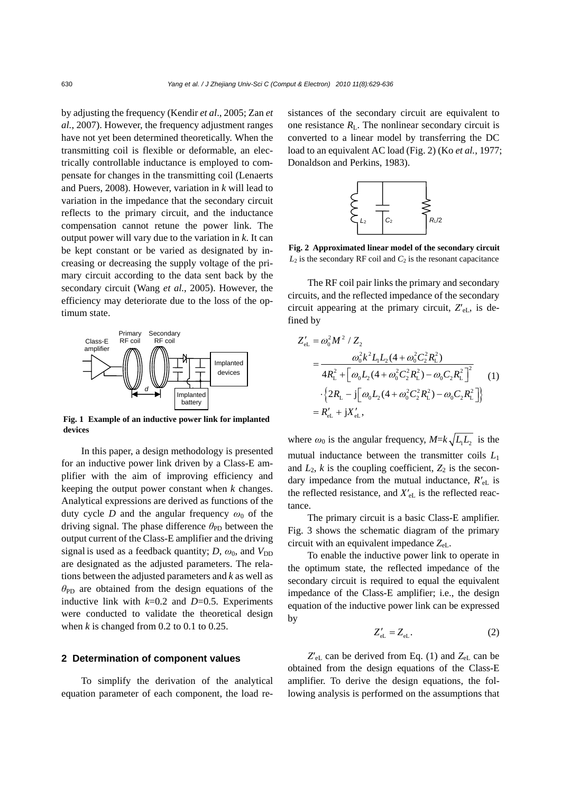by adjusting the frequency (Kendir *et al*., 2005; Zan *et al.*, 2007). However, the frequency adjustment ranges have not yet been determined theoretically. When the transmitting coil is flexible or deformable, an electrically controllable inductance is employed to compensate for changes in the transmitting coil (Lenaerts and Puers, 2008). However, variation in *k* will lead to variation in the impedance that the secondary circuit reflects to the primary circuit, and the inductance compensation cannot retune the power link. The output power will vary due to the variation in *k*. It can be kept constant or be varied as designated by increasing or decreasing the supply voltage of the primary circuit according to the data sent back by the secondary circuit (Wang *et al.*, 2005). However, the efficiency may deteriorate due to the loss of the optimum state.



**Fig. 1 Example of an inductive power link for implanted devices** 

In this paper, a design methodology is presented for an inductive power link driven by a Class-E amplifier with the aim of improving efficiency and keeping the output power constant when *k* changes. Analytical expressions are derived as functions of the duty cycle *D* and the angular frequency  $\omega_0$  of the driving signal. The phase difference  $\theta_{\rm PD}$  between the output current of the Class-E amplifier and the driving signal is used as a feedback quantity;  $D$ ,  $\omega_0$ , and  $V_{\text{DD}}$ are designated as the adjusted parameters. The relations between the adjusted parameters and *k* as well as  $\theta_{\rm PD}$  are obtained from the design equations of the inductive link with  $k=0.2$  and  $D=0.5$ . Experiments were conducted to validate the theoretical design when  $k$  is changed from 0.2 to 0.1 to 0.25.

## **2 Determination of component values**

To simplify the derivation of the analytical equation parameter of each component, the load resistances of the secondary circuit are equivalent to one resistance  $R_L$ . The nonlinear secondary circuit is converted to a linear model by transferring the DC load to an equivalent AC load (Fig. 2) (Ko *et al.*, 1977; Donaldson and Perkins, 1983).



**Fig. 2 Approximated linear model of the secondary circuit**  $L_2$  is the secondary RF coil and  $C_2$  is the resonant capacitance

The RF coil pair links the primary and secondary circuits, and the reflected impedance of the secondary circuit appearing at the primary circuit,  $Z'_{eL}$ , is defined by

$$
Z'_{\text{el.}} = \omega_0^2 M^2 / Z_2
$$
  
= 
$$
\frac{\omega_0^2 k^2 L_1 L_2 (4 + \omega_0^2 C_2^2 R_L^2)}{4R_L^2 + [\omega_0 L_2 (4 + \omega_0^2 C_2^2 R_L^2) - \omega_0 C_2 R_L^2]^2}
$$
  

$$
\cdot \{2R_L - j[\omega_0 L_2 (4 + \omega_0^2 C_2^2 R_L^2) - \omega_0 C_2 R_L^2]\}
$$
  
= 
$$
R'_{\text{el.}} + jX'_{\text{el.}},
$$
 (1)

where  $\omega_0$  is the angular frequency,  $M = k \sqrt{L_1 L_2}$  is the mutual inductance between the transmitter coils *L*<sup>1</sup> and  $L_2$ ,  $k$  is the coupling coefficient,  $Z_2$  is the secondary impedance from the mutual inductance,  $R'_{el}$  is the reflected resistance, and  $X'_{el}$  is the reflected reactance.

The primary circuit is a basic Class-E amplifier. Fig. 3 shows the schematic diagram of the primary circuit with an equivalent impedance *Z*eL.

To enable the inductive power link to operate in the optimum state, the reflected impedance of the secondary circuit is required to equal the equivalent impedance of the Class-E amplifier; i.e., the design equation of the inductive power link can be expressed by

$$
Z'_{\rm eL} = Z_{\rm eL}.\tag{2}
$$

 $Z'_{eL}$  can be derived from Eq. (1) and  $Z_{eL}$  can be obtained from the design equations of the Class-E amplifier. To derive the design equations, the following analysis is performed on the assumptions that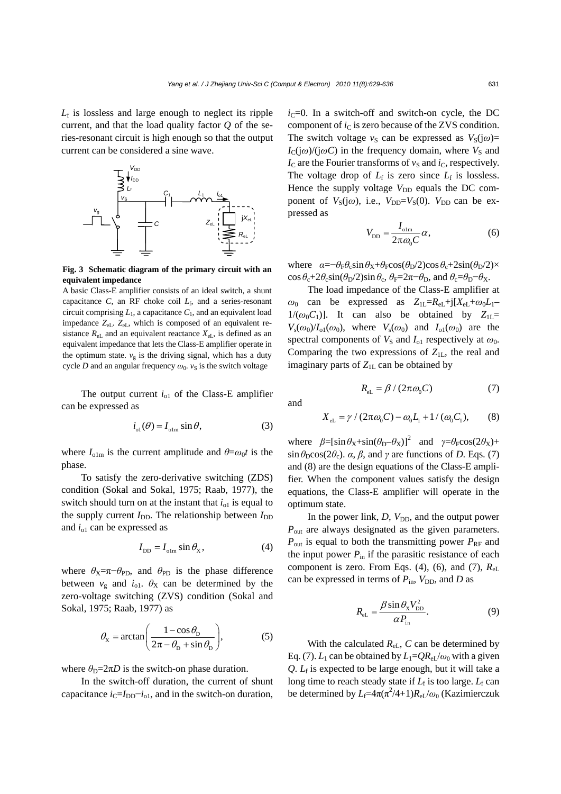*L*f is lossless and large enough to neglect its ripple current, and that the load quality factor *Q* of the series-resonant circuit is high enough so that the output current can be considered a sine wave.



**Fig. 3 Schematic diagram of the primary circuit with an equivalent impedance** 

A basic Class-E amplifier consists of an ideal switch, a shunt capacitance *C*, an RF choke coil  $L_f$ , and a series-resonant circuit comprising  $L_1$ , a capacitance  $C_1$ , and an equivalent load impedance *Z*eL. *Z*eL, which is composed of an equivalent resistance  $R_{eL}$  and an equivalent reactance  $X_{eL}$ , is defined as an equivalent impedance that lets the Class-E amplifier operate in the optimum state.  $v_g$  is the driving signal, which has a duty cycle *D* and an angular frequency  $\omega_0$ .  $v_S$  is the switch voltage

The output current  $i_{01}$  of the Class-E amplifier can be expressed as

$$
i_{\text{ol}}(\theta) = I_{\text{olm}} \sin \theta,\tag{3}
$$

where  $I_{\text{olm}}$  is the current amplitude and  $\theta = \omega_0 t$  is the phase.

To satisfy the zero-derivative switching (ZDS) condition (Sokal and Sokal, 1975; Raab, 1977), the switch should turn on at the instant that  $i_{01}$  is equal to the supply current  $I_{DD}$ . The relationship between  $I_{DD}$ and  $i_{01}$  can be expressed as

$$
I_{\rm DD} = I_{\rm olm} \sin \theta_{\rm X},\tag{4}
$$

where  $\theta_X = \pi - \theta_{\text{PD}}$ , and  $\theta_{\text{PD}}$  is the phase difference between  $v_g$  and  $i_{01}$ .  $\theta_X$  can be determined by the zero-voltage switching (ZVS) condition (Sokal and Sokal, 1975; Raab, 1977) as

$$
\theta_{\rm x} = \arctan\left(\frac{1-\cos\theta_{\rm b}}{2\pi - \theta_{\rm b} + \sin\theta_{\rm b}}\right),\tag{5}
$$

where  $\theta_{\rm D} = 2\pi D$  is the switch-on phase duration.

In the switch-off duration, the current of shunt capacitance  $i_{\text{C}}=I_{\text{DD}}-i_{\text{ol}}$ , and in the switch-on duration,

 $i<sub>C</sub>=0$ . In a switch-off and switch-on cycle, the DC component of  $i<sub>C</sub>$  is zero because of the ZVS condition. The switch voltage  $v_S$  can be expressed as  $V_S(j\omega)$ =  $I_C(i\omega)/(i\omega C)$  in the frequency domain, where  $V_S$  and  $I_c$  are the Fourier transforms of  $v_S$  and  $i_C$ , respectively. The voltage drop of  $L_f$  is zero since  $L_f$  is lossless. Hence the supply voltage  $V_{\text{DD}}$  equals the DC component of  $V_S(j\omega)$ , i.e.,  $V_{DD} = V_S(0)$ .  $V_{DD}$  can be expressed as

$$
V_{\rm DD} = \frac{I_{\rm olm}}{2\pi\omega_0 C} \alpha,
$$
 (6)

where  $\alpha = -\theta_F \theta_c \sin \theta_X + \theta_F \cos(\theta_D/2) \cos \theta_c + 2\sin(\theta_D/2) \times$  $\cos \theta_c + 2\theta_c \sin(\theta_D/2) \sin \theta_c$ ,  $\theta_F = 2\pi - \theta_D$ , and  $\theta_c = \theta_D - \theta_X$ .

The load impedance of the Class-E amplifier at  $\omega_0$  can be expressed as  $Z_{1L} = R_{eL} + j[X_{eL} + \omega_0 L_1 1/(\omega_0 C_1)$ ]. It can also be obtained by  $Z_{1L}$ =  $V_s(\omega_0)/I_{01}(\omega_0)$ , where  $V_s(\omega_0)$  and  $I_{01}(\omega_0)$  are the spectral components of  $V_S$  and  $I_{o1}$  respectively at  $\omega_0$ . Comparing the two expressions of  $Z_{1L}$ , the real and imaginary parts of  $Z_{1L}$  can be obtained by

$$
R_{\rm eL} = \beta / (2\pi \omega_0 C) \tag{7}
$$

and

$$
X_{\rm eL} = \gamma / (2\pi \omega_0 C) - \omega_0 L_1 + 1 / (\omega_0 C_1), \qquad (8)
$$

where  $\beta = [\sin \theta_X + \sin(\theta_D - \theta_X)]^2$  and  $\gamma = \theta_F \cos(2\theta_X) +$  $\sin \theta_D \cos(2\theta_c)$ . *α*, *β*, and *γ* are functions of *D*. Eqs. (7) and (8) are the design equations of the Class-E amplifier. When the component values satisfy the design equations, the Class-E amplifier will operate in the optimum state.

In the power link, *D*,  $V_{DD}$ , and the output power  $P_{\text{out}}$  are always designated as the given parameters.  $P_{\text{out}}$  is equal to both the transmitting power  $P_{\text{RF}}$  and the input power  $P_{\text{in}}$  if the parasitic resistance of each component is zero. From Eqs. (4), (6), and (7), *R*eL can be expressed in terms of  $P_{\text{in}}$ ,  $V_{\text{DD}}$ , and *D* as

$$
R_{\rm eL} = \frac{\beta \sin \theta_{\rm x} V_{\rm DD}^2}{\alpha P_{\rm in}}.\tag{9}
$$

With the calculated  $R_{eL}$ ,  $C$  can be determined by Eq. (7).  $L_1$  can be obtained by  $L_1=QR_{eL}/\omega_0$  with a given  $Q$ .  $L_f$  is expected to be large enough, but it will take a long time to reach steady state if  $L_f$  is too large.  $L_f$  can be determined by  $L_f = 4\pi(\pi^2/4+1)R_{eL}/\omega_0$  (Kazimierczuk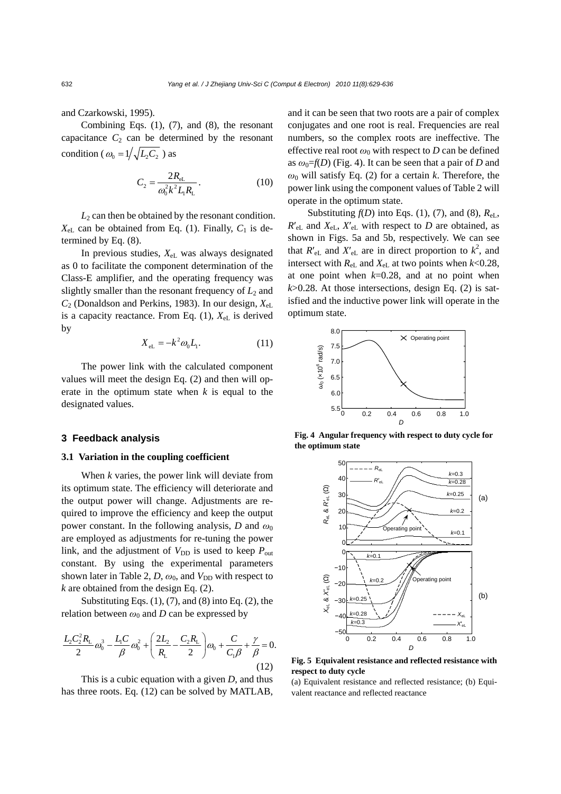and Czarkowski, 1995).

Combining Eqs. (1), (7), and (8), the resonant capacitance  $C_2$  can be determined by the resonant condition ( $\omega_0 = 1 / \sqrt{L_2 C_2}$ ) as

$$
C_2 = \frac{2R_{\rm el}}{\omega_0^2 k^2 L_1 R_{\rm L}}.
$$
 (10)

 $L_2$  can then be obtained by the resonant condition.  $X_{eL}$  can be obtained from Eq. (1). Finally,  $C_1$  is determined by Eq. (8).

In previous studies, *X*eL was always designated as 0 to facilitate the component determination of the Class-E amplifier, and the operating frequency was slightly smaller than the resonant frequency of  $L_2$  and *C*2 (Donaldson and Perkins, 1983). In our design, *X*eL is a capacity reactance. From Eq.  $(1)$ ,  $X_{el}$  is derived by

$$
X_{\rm eL} = -k^2 \omega_0 L_1. \tag{11}
$$

The power link with the calculated component values will meet the design Eq. (2) and then will operate in the optimum state when *k* is equal to the designated values.

## **3 Feedback analysis**

### **3.1 Variation in the coupling coefficient**

When *k* varies, the power link will deviate from its optimum state. The efficiency will deteriorate and the output power will change. Adjustments are required to improve the efficiency and keep the output power constant. In the following analysis, *D* and  $\omega_0$ are employed as adjustments for re-tuning the power link, and the adjustment of  $V_{DD}$  is used to keep  $P_{out}$ constant. By using the experimental parameters shown later in Table 2,  $D$ ,  $\omega_0$ , and  $V_{DD}$  with respect to *k* are obtained from the design Eq. (2).

Substituting Eqs.  $(1)$ ,  $(7)$ , and  $(8)$  into Eq.  $(2)$ , the relation between  $\omega_0$  and *D* can be expressed by

$$
\frac{L_2 C_2^2 R_{\rm L}}{2} \omega_0^3 - \frac{L_1 C}{\beta} \omega_0^2 + \left(\frac{2L_2}{R_{\rm L}} - \frac{C_2 R_{\rm L}}{2}\right) \omega_0 + \frac{C}{C_1 \beta} + \frac{\gamma}{\beta} = 0.
$$
\n(12)

This is a cubic equation with a given *D*, and thus has three roots. Eq. (12) can be solved by MATLAB, and it can be seen that two roots are a pair of complex conjugates and one root is real. Frequencies are real numbers, so the complex roots are ineffective. The effective real root  $\omega_0$  with respect to *D* can be defined as  $\omega_0 = f(D)$  (Fig. 4). It can be seen that a pair of *D* and  $\omega_0$  will satisfy Eq. (2) for a certain *k*. Therefore, the power link using the component values of Table 2 will operate in the optimum state.

Substituting  $f(D)$  into Eqs. (1), (7), and (8),  $R_{el}$ ,  $R'_{eL}$  and  $X_{eL}$ ,  $X'_{eL}$  with respect to *D* are obtained, as shown in Figs. 5a and 5b, respectively. We can see that  $R'_{eL}$  and  $X'_{eL}$  are in direct proportion to  $k^2$ , and intersect with  $R_{el}$  and  $X_{el}$  at two points when  $k<0.28$ , at one point when *k*=0.28, and at no point when  $k$  $>$ 0.28. At those intersections, design Eq. (2) is satisfied and the inductive power link will operate in the optimum state.



**Fig. 4 Angular frequency with respect to duty cycle for the optimum state**



**Fig. 5 Equivalent resistance and reflected resistance with respect to duty cycle** 

(a) Equivalent resistance and reflected resistance; (b) Equivalent reactance and reflected reactance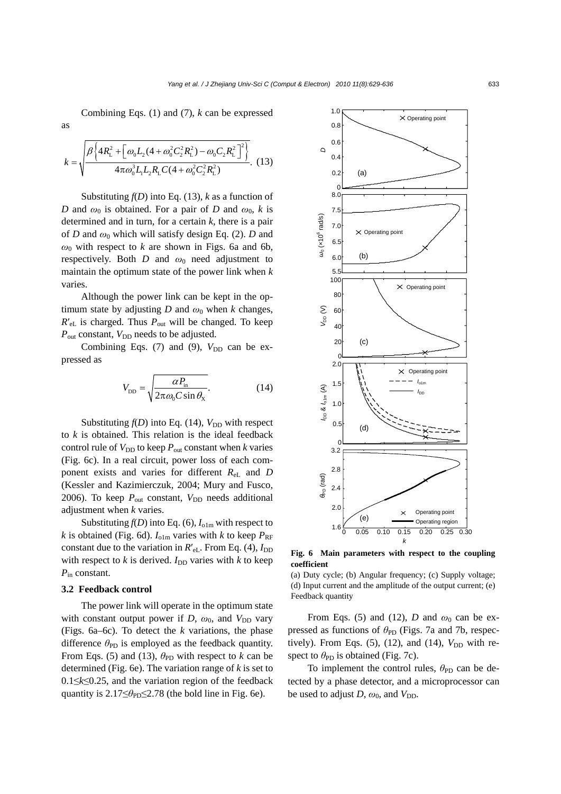Combining Eqs. (1) and (7), *k* can be expressed

$$
k = \sqrt{\frac{\beta \left\{ 4R_{\rm L}^2 + \left[ \omega_0 L_2 (4 + \omega_0^2 C_2^2 R_{\rm L}^2) - \omega_0 C_2 R_{\rm L}^2 \right]^2 \right\}}{4 \pi \omega_0^3 L_1 L_2 R_{\rm L} C (4 + \omega_0^2 C_2^2 R_{\rm L}^2)}}.
$$
(13)

as

Substituting  $f(D)$  into Eq. (13),  $k$  as a function of *D* and  $\omega_0$  is obtained. For a pair of *D* and  $\omega_0$ , *k* is determined and in turn, for a certain *k*, there is a pair of *D* and  $\omega_0$  which will satisfy design Eq. (2). *D* and  $\omega_0$  with respect to *k* are shown in Figs. 6a and 6b, respectively. Both  $D$  and  $\omega_0$  need adjustment to maintain the optimum state of the power link when *k* varies.

Although the power link can be kept in the optimum state by adjusting *D* and  $\omega_0$  when *k* changes, *R*′eL is charged. Thus *P*out will be changed. To keep  $P_{\text{out}}$  constant,  $V_{\text{DD}}$  needs to be adjusted.

Combining Eqs. (7) and (9),  $V_{DD}$  can be expressed as

$$
V_{\rm DD} = \sqrt{\frac{\alpha P_{\rm in}}{2\pi\omega_0 C \sin\theta_{\rm x}}}.
$$
 (14)

Substituting  $f(D)$  into Eq. (14),  $V_{DD}$  with respect to *k* is obtained. This relation is the ideal feedback control rule of  $V_{DD}$  to keep  $P_{out}$  constant when  $k$  varies (Fig. 6c). In a real circuit, power loss of each component exists and varies for different  $R_{el}$  and *D* (Kessler and Kazimierczuk, 2004; Mury and Fusco, 2006). To keep  $P_{\text{out}}$  constant,  $V_{\text{DD}}$  needs additional adjustment when *k* varies.

Substituting  $f(D)$  into Eq. (6),  $I_{01m}$  with respect to *k* is obtained (Fig. 6d).  $I_{\text{olm}}$  varies with *k* to keep  $P_{\text{RF}}$ constant due to the variation in  $R'_{eL}$ . From Eq. (4),  $I_{DD}$ with respect to  $k$  is derived.  $I_{DD}$  varies with  $k$  to keep *P*in constant.

#### **3.2 Feedback control**

The power link will operate in the optimum state with constant output power if *D*,  $\omega_0$ , and  $V_{\text{DD}}$  vary (Figs. 6a–6c). To detect the *k* variations, the phase difference  $\theta_{\text{PD}}$  is employed as the feedback quantity. From Eqs. (5) and (13),  $\theta_{\text{PD}}$  with respect to *k* can be determined (Fig. 6e). The variation range of *k* is set to 0.1≤*k*≤0.25, and the variation region of the feedback quantity is  $2.17 \leq \theta_{\text{PD}} \leq 2.78$  (the bold line in Fig. 6e).



**Fig. 6 Main parameters with respect to the coupling coefficient**

(a) Duty cycle; (b) Angular frequency; (c) Supply voltage; (d) Input current and the amplitude of the output current; (e) Feedback quantity

From Eqs. (5) and (12), *D* and  $\omega_0$  can be expressed as functions of *θ*<sub>PD</sub> (Figs. 7a and 7b, respectively). From Eqs.  $(5)$ ,  $(12)$ , and  $(14)$ ,  $V_{DD}$  with respect to  $\theta_{\text{PD}}$  is obtained (Fig. 7c).

To implement the control rules,  $\theta_{\text{PD}}$  can be detected by a phase detector, and a microprocessor can be used to adjust  $D$ ,  $\omega_0$ , and  $V_{DD}$ .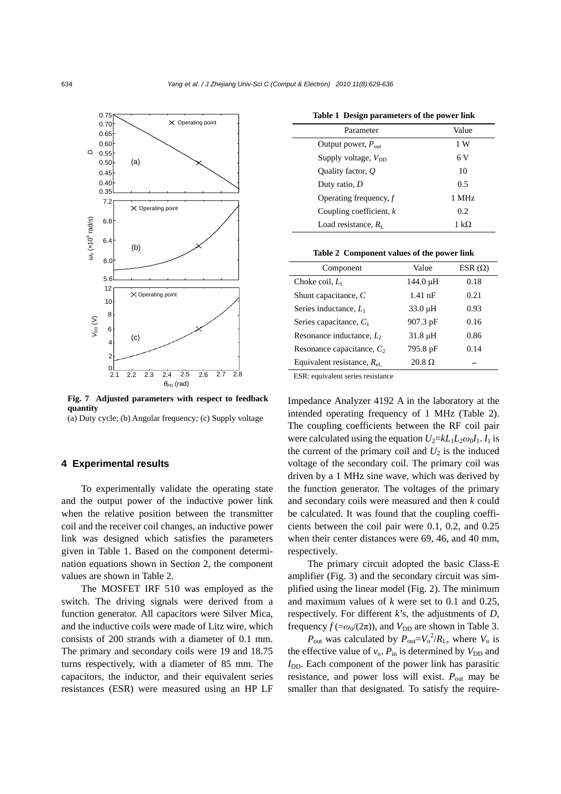

**Fig. 7 Adjusted parameters with respect to feedback quantity** 

(a) Duty cycle; (b) Angular frequency; (c) Supply voltage

## **4 Experimental results**

To experimentally validate the operating state and the output power of the inductive power link when the relative position between the transmitter coil and the receiver coil changes, an inductive power link was designed which satisfies the parameters given in Table 1. Based on the component determination equations shown in Section 2, the component values are shown in Table 2.

The MOSFET IRF 510 was employed as the switch. The driving signals were derived from a function generator. All capacitors were Silver Mica, and the inductive coils were made of Litz wire, which consists of 200 strands with a diameter of 0.1 mm. The primary and secondary coils were 19 and 18.75 turns respectively, with a diameter of 85 mm. The capacitors, the inductor, and their equivalent series resistances (ESR) were measured using an HP LF

| Table 1 Design parameters of the power link |  |  |  |  |  |  |
|---------------------------------------------|--|--|--|--|--|--|
|---------------------------------------------|--|--|--|--|--|--|

| Parameter                      | Value |
|--------------------------------|-------|
| Output power, $P_{\text{out}}$ | 1 W   |
| Supply voltage, $V_{DD}$       | 6 V   |
| Ouality factor, $O$            | 10    |
| Duty ratio, $D$                | 0.5   |
| Operating frequency, $f$       | 1 MHz |
| Coupling coefficient, $k$      | 0.2   |
| Load resistance, $R_{\rm L}$   | 1 kO  |

|  | Table 2 Component values of the power link |  |  |  |  |
|--|--------------------------------------------|--|--|--|--|
|--|--------------------------------------------|--|--|--|--|

| Component                                | Value         | ESR $(\Omega)$ |
|------------------------------------------|---------------|----------------|
| Choke coil, $L_f$                        | $144.0 \mu H$ | 0.18           |
| Shunt capacitance, $C$                   | $1.41$ nF     | 0.21           |
| Series inductance, $L_1$                 | $33.0 \mu H$  | 0.93           |
| Series capacitance, $C_1$                | 907.3 pF      | 0.16           |
| Resonance inductance, $L_2$              | $31.8 \mu H$  | 0.86           |
| Resonance capacitance, $C_2$             | 795.8 pF      | 0.14           |
| Equivalent resistance, $R_{\text{el}}$ . | $20.8 \Omega$ |                |

ESR: equivalent series resistance

Impedance Analyzer 4192 A in the laboratory at the intended operating frequency of 1 MHz (Table 2). The coupling coefficients between the RF coil pair were calculated using the equation  $U_2 = kL_1L_2\omega_0I_1$ . *I*<sub>1</sub> is the current of the primary coil and  $U_2$  is the induced voltage of the secondary coil. The primary coil was driven by a 1 MHz sine wave, which was derived by the function generator. The voltages of the primary and secondary coils were measured and then *k* could be calculated. It was found that the coupling coefficients between the coil pair were 0.1, 0.2, and 0.25 when their center distances were 69, 46, and 40 mm, respectively.

The primary circuit adopted the basic Class-E amplifier (Fig. 3) and the secondary circuit was simplified using the linear model (Fig. 2). The minimum and maximum values of *k* were set to 0.1 and 0.25, respectively. For different *k*'s, the adjustments of *D*, frequency  $f (= \omega_0/(2\pi))$ , and  $V_{\text{DD}}$  are shown in Table 3.

 $P_{\text{out}}$  was calculated by  $P_{\text{out}} = V_0^2 / R_L$ , where  $V_0$  is the effective value of  $v_0$ .  $P_{\text{in}}$  is determined by  $V_{\text{DD}}$  and  $I_{\text{DD}}$ . Each component of the power link has parasitic resistance, and power loss will exist.  $P_{\text{out}}$  may be smaller than that designated. To satisfy the require-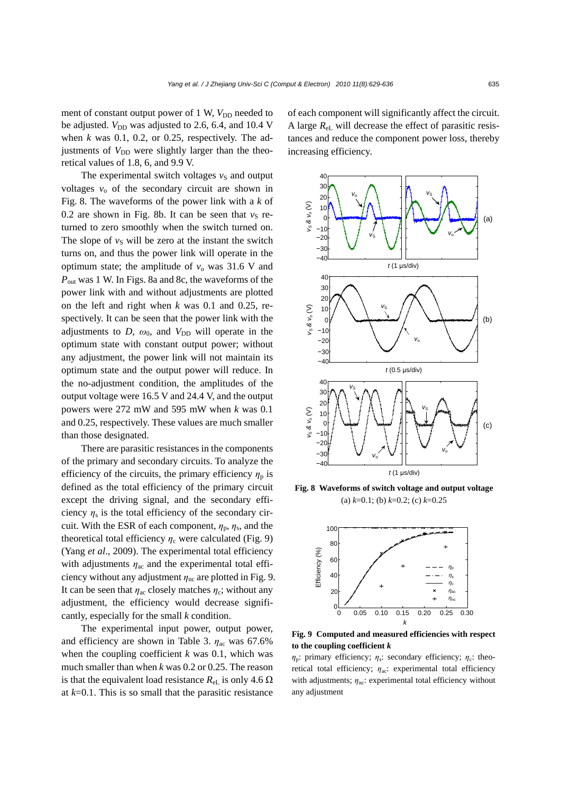ment of constant output power of 1 W,  $V_{\text{DD}}$  needed to be adjusted. *V*<sub>DD</sub> was adjusted to 2.6, 6.4, and 10.4 V when *k* was 0.1, 0.2, or 0.25, respectively. The adjustments of  $V_{DD}$  were slightly larger than the theoretical values of 1.8, 6, and 9.9 V.

The experimental switch voltages  $v<sub>S</sub>$  and output voltages  $v_0$  of the secondary circuit are shown in Fig. 8. The waveforms of the power link with a *k* of 0.2 are shown in Fig. 8b. It can be seen that  $v_S$  returned to zero smoothly when the switch turned on. The slope of  $v<sub>S</sub>$  will be zero at the instant the switch turns on, and thus the power link will operate in the optimum state; the amplitude of  $v_0$  was 31.6 V and *P*out was 1 W. In Figs. 8a and 8c, the waveforms of the power link with and without adjustments are plotted on the left and right when *k* was 0.1 and 0.25, respectively. It can be seen that the power link with the adjustments to  $D$ ,  $\omega_0$ , and  $V_{DD}$  will operate in the optimum state with constant output power; without any adjustment, the power link will not maintain its optimum state and the output power will reduce. In the no-adjustment condition, the amplitudes of the output voltage were 16.5 V and 24.4 V, and the output powers were 272 mW and 595 mW when *k* was 0.1 and 0.25, respectively. These values are much smaller than those designated.

There are parasitic resistances in the components of the primary and secondary circuits. To analyze the efficiency of the circuits, the primary efficiency  $\eta_p$  is defined as the total efficiency of the primary circuit except the driving signal, and the secondary efficiency  $\eta_s$  is the total efficiency of the secondary circuit. With the ESR of each component,  $\eta_p$ ,  $\eta_s$ , and the theoretical total efficiency  $\eta_c$  were calculated (Fig. 9) (Yang *et al*., 2009). The experimental total efficiency with adjustments  $\eta_{ac}$  and the experimental total efficiency without any adjustment  $\eta_{nc}$  are plotted in Fig. 9. It can be seen that  $\eta_{ac}$  closely matches  $\eta_c$ ; without any adjustment, the efficiency would decrease significantly, especially for the small *k* condition.

The experimental input power, output power, and efficiency are shown in Table 3.  $\eta_{ac}$  was 67.6% when the coupling coefficient *k* was 0.1, which was much smaller than when *k* was 0.2 or 0.25. The reason is that the equivalent load resistance  $R_{el}$  is only 4.6  $\Omega$ at *k*=0.1. This is so small that the parasitic resistance

of each component will significantly affect the circuit. A large *R*eL will decrease the effect of parasitic resistances and reduce the component power loss, thereby increasing efficiency.



**Fig. 8 Waveforms of switch voltage and output voltage** (a) *k*=0.1; (b) *k*=0.2; (c) *k*=0.25



**Fig. 9 Computed and measured efficiencies with respect to the coupling coefficient** *k*

 $\eta_p$ : primary efficiency;  $\eta_s$ : secondary efficiency;  $\eta_c$ : theoretical total efficiency; *η*<sub>ac</sub>: experimental total efficiency with adjustments;  $\eta_{\text{nc}}$ : experimental total efficiency without any adjustment